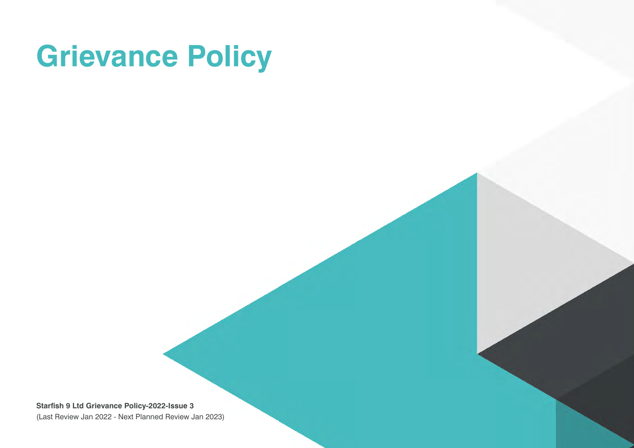# **Grievance Policy**

**Starfish 9 Ltd Grievance Policy-2022-Issue 3** (Last Review Jan 2022 - Next Planned Review Jan 2023)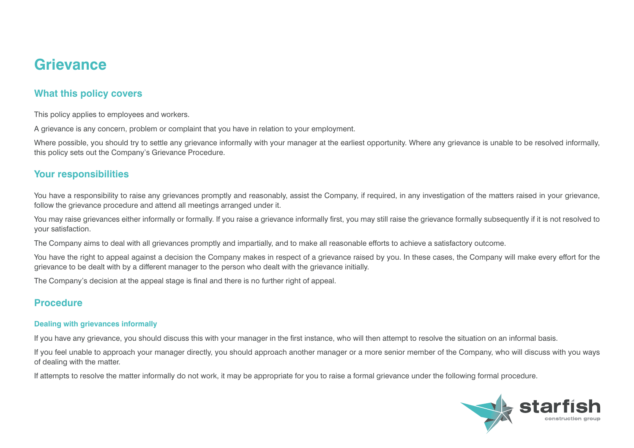## **Grievance**

## **What this policy covers**

This policy applies to employees and workers.

A grievance is any concern, problem or complaint that you have in relation to your employment.

Where possible, you should try to settle any grievance informally with your manager at the earliest opportunity. Where any grievance is unable to be resolved informally, this policy sets out the Company's Grievance Procedure.

### **Your responsibilities**

You have a responsibility to raise any grievances promptly and reasonably, assist the Company, if required, in any investigation of the matters raised in your grievance, follow the grievance procedure and attend all meetings arranged under it.

You may raise grievances either informally or formally. If you raise a grievance informally first, you may still raise the grievance formally subsequently if it is not resolved to your satisfaction.

The Company aims to deal with all grievances promptly and impartially, and to make all reasonable efforts to achieve a satisfactory outcome.

You have the right to appeal against a decision the Company makes in respect of a grievance raised by you. In these cases, the Company will make every effort for the grievance to be dealt with by a different manager to the person who dealt with the grievance initially.

The Company's decision at the appeal stage is final and there is no further right of appeal.

## **Procedure**

#### **Dealing with grievances informally**

If you have any grievance, you should discuss this with your manager in the first instance, who will then attempt to resolve the situation on an informal basis.

If you feel unable to approach your manager directly, you should approach another manager or a more senior member of the Company, who will discuss with you ways of dealing with the matter.

If attempts to resolve the matter informally do not work, it may be appropriate for you to raise a formal grievance under the following formal procedure.

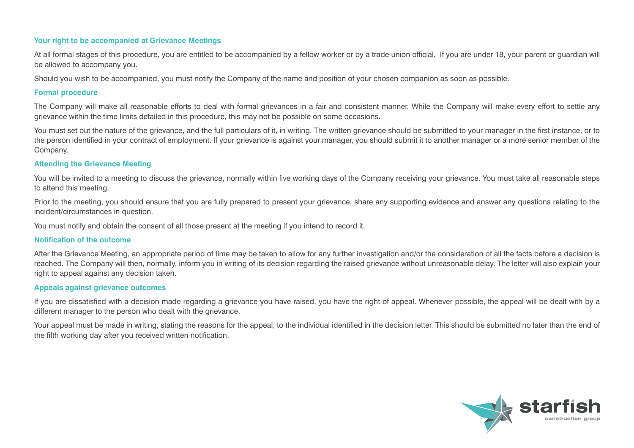#### **Your right to be accompanied at Grievance Meetings**

At all formal stages of this procedure, you are entitled to be accompanied by a fellow worker or by a trade union official. If you are under 18, your parent or guardian will be allowed to accompany you.

Should you wish to be accompanied, you must notify the Company of the name and position of your chosen companion as soon as possible.

#### **Formal procedure**

The Company will make all reasonable efforts to deal with formal grievances in a fair and consistent manner. While the Company will make every effort to settle any grievance within the time limits detailed in this procedure, this may not be possible on some occasions.

You must set out the nature of the grievance, and the full particulars of it, in writing. The written grievance should be submitted to your manager in the first instance, or to the person identified in your contract of employment. If your grievance is against your manager, you should submit it to another manager or a more senior member of the Company.

#### **Attending the Grievance Meeting**

You will be invited to a meeting to discuss the grievance, normally within five working days of the Company receiving your grievance. You must take all reasonable steps to attend this meeting.

Prior to the meeting, you should ensure that you are fully prepared to present your grievance, share any supporting evidence and answer any questions relating to the incident/circumstances in question.

You must notify and obtain the consent of all those present at the meeting if you intend to record it.

#### **Notification of the outcome**

After the Grievance Meeting, an appropriate period of time may be taken to allow for any further investigation and/or the consideration of all the facts before a decision is reached. The Company will then, normally, inform you in writing of its decision regarding the raised grievance without unreasonable delay. The letter will also explain your right to appeal against any decision taken.

#### **Appeals against grievance outcomes**

If you are dissatisfied with a decision made regarding a grievance you have raised, you have the right of appeal. Whenever possible, the appeal will be dealt with by a different manager to the person who dealt with the grievance.

Your appeal must be made in writing, stating the reasons for the appeal, to the individual identified in the decision letter. This should be submitted no later than the end of the fifth working day after you received written notification.